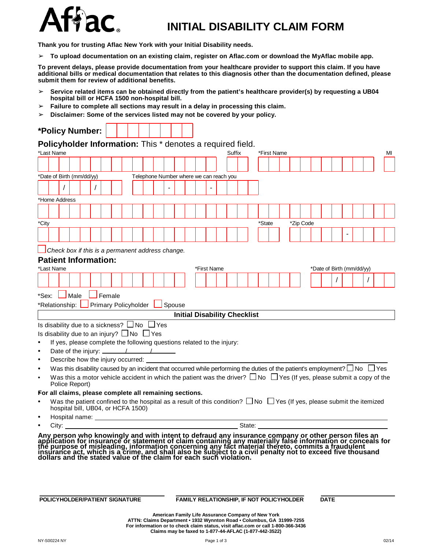

## **INITIAL DISABILITY CLAIM FORM**

**Thank you for trusting Aflac New York with your Initial Disability needs.**

➢ **To upload documentation on an existing claim, register on Aflac.com or download the MyAflac mobile app.**

To prevent delays, please provide documentation from your healthcare provider to support this claim. If you have additional bills or medical documentation that relates to this diagnosis other than the documentation defined, please **submit them for review of additional benefits.**

- ➢ **Service related items can be obtained directly from the patient's healthcare provider(s) by requesting a UB04 hospital bill or HCFA 1500 non-hospital bill.**
- ➢ **Failure to complete all sections may result in a delay in processing this claim.**
- ➢ **Disclaimer: Some of the services listed may not be covered by your policy.**

|            |                | Policyholder Information: This * denotes a required field.                                                                                                                                                                     |                             |  |                                         |               |  |                                     |  |        |  |        |             |  |           |  |                           |  |  |                                                                                                                                                                                                                                     |
|------------|----------------|--------------------------------------------------------------------------------------------------------------------------------------------------------------------------------------------------------------------------------|-----------------------------|--|-----------------------------------------|---------------|--|-------------------------------------|--|--------|--|--------|-------------|--|-----------|--|---------------------------|--|--|-------------------------------------------------------------------------------------------------------------------------------------------------------------------------------------------------------------------------------------|
| *Last Name |                |                                                                                                                                                                                                                                |                             |  |                                         |               |  |                                     |  | Suffix |  |        | *First Name |  |           |  |                           |  |  | MI                                                                                                                                                                                                                                  |
|            |                |                                                                                                                                                                                                                                |                             |  |                                         |               |  |                                     |  |        |  |        |             |  |           |  |                           |  |  |                                                                                                                                                                                                                                     |
|            |                | *Date of Birth (mm/dd/yy)                                                                                                                                                                                                      |                             |  | Telephone Number where we can reach you |               |  |                                     |  |        |  |        |             |  |           |  |                           |  |  |                                                                                                                                                                                                                                     |
|            |                |                                                                                                                                                                                                                                |                             |  |                                         |               |  |                                     |  |        |  |        |             |  |           |  |                           |  |  |                                                                                                                                                                                                                                     |
|            | *Home Address  |                                                                                                                                                                                                                                |                             |  |                                         |               |  |                                     |  |        |  |        |             |  |           |  |                           |  |  |                                                                                                                                                                                                                                     |
|            |                |                                                                                                                                                                                                                                |                             |  |                                         |               |  |                                     |  |        |  |        |             |  |           |  |                           |  |  |                                                                                                                                                                                                                                     |
|            |                |                                                                                                                                                                                                                                |                             |  |                                         |               |  |                                     |  |        |  |        |             |  |           |  |                           |  |  |                                                                                                                                                                                                                                     |
| *City      |                |                                                                                                                                                                                                                                |                             |  |                                         |               |  |                                     |  |        |  | *State |             |  | *Zip Code |  |                           |  |  |                                                                                                                                                                                                                                     |
|            |                |                                                                                                                                                                                                                                |                             |  |                                         |               |  |                                     |  |        |  |        |             |  |           |  |                           |  |  |                                                                                                                                                                                                                                     |
|            |                |                                                                                                                                                                                                                                |                             |  |                                         |               |  |                                     |  |        |  |        |             |  |           |  |                           |  |  |                                                                                                                                                                                                                                     |
|            |                | Check box if this is a permanent address change.                                                                                                                                                                               |                             |  |                                         |               |  |                                     |  |        |  |        |             |  |           |  |                           |  |  |                                                                                                                                                                                                                                     |
|            | *Last Name     | <b>Patient Information:</b>                                                                                                                                                                                                    |                             |  |                                         |               |  | *First Name                         |  |        |  |        |             |  |           |  |                           |  |  |                                                                                                                                                                                                                                     |
|            |                |                                                                                                                                                                                                                                |                             |  |                                         |               |  |                                     |  |        |  |        |             |  |           |  | *Date of Birth (mm/dd/yy) |  |  |                                                                                                                                                                                                                                     |
|            |                |                                                                                                                                                                                                                                |                             |  |                                         |               |  |                                     |  |        |  |        |             |  |           |  |                           |  |  |                                                                                                                                                                                                                                     |
| *Sex:      |                | Male                                                                                                                                                                                                                           | Female                      |  |                                         |               |  |                                     |  |        |  |        |             |  |           |  |                           |  |  |                                                                                                                                                                                                                                     |
|            | *Relationship: |                                                                                                                                                                                                                                | <b>Primary Policyholder</b> |  |                                         | $\Box$ Spouse |  |                                     |  |        |  |        |             |  |           |  |                           |  |  |                                                                                                                                                                                                                                     |
|            |                |                                                                                                                                                                                                                                |                             |  |                                         |               |  | <b>Initial Disability Checklist</b> |  |        |  |        |             |  |           |  |                           |  |  |                                                                                                                                                                                                                                     |
|            |                | Is disability due to a sickness? $\Box$ No $\Box$ Yes                                                                                                                                                                          |                             |  |                                         |               |  |                                     |  |        |  |        |             |  |           |  |                           |  |  |                                                                                                                                                                                                                                     |
|            |                | Is disability due to an injury? $\square$ No $\square$ Yes                                                                                                                                                                     |                             |  |                                         |               |  |                                     |  |        |  |        |             |  |           |  |                           |  |  |                                                                                                                                                                                                                                     |
|            |                | If yes, please complete the following questions related to the injury:                                                                                                                                                         |                             |  |                                         |               |  |                                     |  |        |  |        |             |  |           |  |                           |  |  |                                                                                                                                                                                                                                     |
|            |                | Date of the injury: $\frac{1}{\sqrt{1-\frac{1}{2}}}\left\vert \frac{1}{\sqrt{1-\frac{1}{2}}}\right\vert$                                                                                                                       |                             |  |                                         |               |  |                                     |  |        |  |        |             |  |           |  |                           |  |  |                                                                                                                                                                                                                                     |
|            |                | Describe how the injury occurred:                                                                                                                                                                                              |                             |  |                                         |               |  |                                     |  |        |  |        |             |  |           |  |                           |  |  |                                                                                                                                                                                                                                     |
|            |                | Was this disability caused by an incident that occurred while performing the duties of the patient's employment? $\Box$ No $\Box$ Yes                                                                                          |                             |  |                                         |               |  |                                     |  |        |  |        |             |  |           |  |                           |  |  |                                                                                                                                                                                                                                     |
|            |                | Was this a motor vehicle accident in which the patient was the driver? $\Box$ No $\Box$ Yes (If yes, please submit a copy of the<br>Police Report)                                                                             |                             |  |                                         |               |  |                                     |  |        |  |        |             |  |           |  |                           |  |  |                                                                                                                                                                                                                                     |
|            |                | For all claims, please complete all remaining sections.                                                                                                                                                                        |                             |  |                                         |               |  |                                     |  |        |  |        |             |  |           |  |                           |  |  |                                                                                                                                                                                                                                     |
|            |                | Was the patient confined to the hospital as a result of this condition? $\Box$ No $\Box$ Yes (If yes, please submit the itemized                                                                                               |                             |  |                                         |               |  |                                     |  |        |  |        |             |  |           |  |                           |  |  |                                                                                                                                                                                                                                     |
|            |                | hospital bill, UB04, or HCFA 1500)                                                                                                                                                                                             |                             |  |                                         |               |  |                                     |  |        |  |        |             |  |           |  |                           |  |  |                                                                                                                                                                                                                                     |
|            |                |                                                                                                                                                                                                                                |                             |  |                                         |               |  |                                     |  |        |  |        |             |  |           |  |                           |  |  |                                                                                                                                                                                                                                     |
|            |                | City: the contract of the contract of the contract of the contract of the contract of the contract of the contract of the contract of the contract of the contract of the contract of the contract of the contract of the cont |                             |  |                                         |               |  |                                     |  |        |  |        |             |  |           |  |                           |  |  | Any person who knowingly and with intent to defraud any insurance company or other person files an<br>application for insurance or statement of claim containing any materially false information or conceals for<br>the purpose of |

## **POLICYHOLDER/PATIENT SIGNATURE FAMILY RELATIONSHIP, IF NOT POLICYHOLDER DATE**

**American Family Life Assurance Company of New York ATTN: Claims Department • 1932 Wynnton Road • Columbus, GA 31999-7255 For information or to check claim status, visit aflac.com or call 1-800-366-3436 Claims may be faxed to 1-877-44-AFLAC (1-877-442-3522)**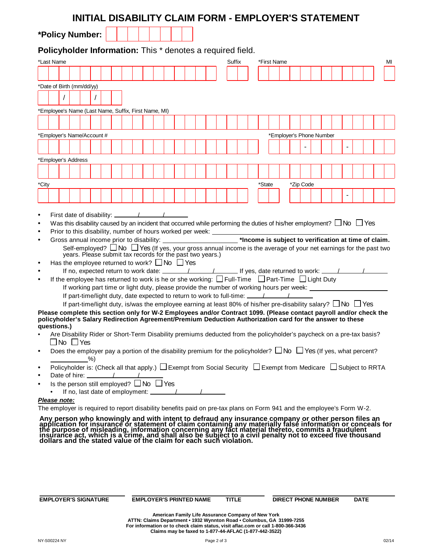|                        |                                                                                                                                                                                                                                |                      |  |    |  | INITIAL DISABILITY CLAIM FORM - EMPLOYER'S STATEMENT                                                                                                                                                     |  |  |  |  |  |        |  |             |  |                          |           |  |  |  |  |  |  |    |
|------------------------|--------------------------------------------------------------------------------------------------------------------------------------------------------------------------------------------------------------------------------|----------------------|--|----|--|----------------------------------------------------------------------------------------------------------------------------------------------------------------------------------------------------------|--|--|--|--|--|--------|--|-------------|--|--------------------------|-----------|--|--|--|--|--|--|----|
|                        | *Policy Number:                                                                                                                                                                                                                |                      |  |    |  |                                                                                                                                                                                                          |  |  |  |  |  |        |  |             |  |                          |           |  |  |  |  |  |  |    |
|                        | Policyholder Information: This * denotes a required field.                                                                                                                                                                     |                      |  |    |  |                                                                                                                                                                                                          |  |  |  |  |  |        |  |             |  |                          |           |  |  |  |  |  |  |    |
|                        | *Last Name                                                                                                                                                                                                                     |                      |  |    |  |                                                                                                                                                                                                          |  |  |  |  |  | Suffix |  | *First Name |  |                          |           |  |  |  |  |  |  | MI |
|                        |                                                                                                                                                                                                                                |                      |  |    |  |                                                                                                                                                                                                          |  |  |  |  |  |        |  |             |  |                          |           |  |  |  |  |  |  |    |
|                        | *Date of Birth (mm/dd/yy)                                                                                                                                                                                                      |                      |  |    |  |                                                                                                                                                                                                          |  |  |  |  |  |        |  |             |  |                          |           |  |  |  |  |  |  |    |
|                        |                                                                                                                                                                                                                                |                      |  |    |  |                                                                                                                                                                                                          |  |  |  |  |  |        |  |             |  |                          |           |  |  |  |  |  |  |    |
|                        | *Employee's Name (Last Name, Suffix, First Name, MI)                                                                                                                                                                           |                      |  |    |  |                                                                                                                                                                                                          |  |  |  |  |  |        |  |             |  |                          |           |  |  |  |  |  |  |    |
|                        |                                                                                                                                                                                                                                |                      |  |    |  |                                                                                                                                                                                                          |  |  |  |  |  |        |  |             |  |                          |           |  |  |  |  |  |  |    |
|                        | *Employer's Name/Account #                                                                                                                                                                                                     |                      |  |    |  |                                                                                                                                                                                                          |  |  |  |  |  |        |  |             |  | *Employer's Phone Number |           |  |  |  |  |  |  |    |
|                        |                                                                                                                                                                                                                                |                      |  |    |  |                                                                                                                                                                                                          |  |  |  |  |  |        |  |             |  |                          |           |  |  |  |  |  |  |    |
|                        | *Employer's Address                                                                                                                                                                                                            |                      |  |    |  |                                                                                                                                                                                                          |  |  |  |  |  |        |  |             |  |                          |           |  |  |  |  |  |  |    |
|                        |                                                                                                                                                                                                                                |                      |  |    |  |                                                                                                                                                                                                          |  |  |  |  |  |        |  |             |  |                          |           |  |  |  |  |  |  |    |
| *City                  |                                                                                                                                                                                                                                |                      |  |    |  |                                                                                                                                                                                                          |  |  |  |  |  |        |  | *State      |  |                          | *Zip Code |  |  |  |  |  |  |    |
|                        |                                                                                                                                                                                                                                |                      |  |    |  |                                                                                                                                                                                                          |  |  |  |  |  |        |  |             |  |                          |           |  |  |  |  |  |  |    |
|                        |                                                                                                                                                                                                                                |                      |  |    |  |                                                                                                                                                                                                          |  |  |  |  |  |        |  |             |  |                          |           |  |  |  |  |  |  |    |
| $\bullet$<br>$\bullet$ |                                                                                                                                                                                                                                |                      |  |    |  |                                                                                                                                                                                                          |  |  |  |  |  |        |  |             |  |                          |           |  |  |  |  |  |  |    |
| $\bullet$              |                                                                                                                                                                                                                                |                      |  |    |  | Was this disability caused by an incident that occurred while performing the duties of his/her employment? $\Box$ No $\Box$ Yes<br>Prior to this disability, number of hours worked per week: __________ |  |  |  |  |  |        |  |             |  |                          |           |  |  |  |  |  |  |    |
| $\bullet$              |                                                                                                                                                                                                                                |                      |  |    |  | Gross annual income prior to disability: _______________________*Income is subject to verification at time of claim.                                                                                     |  |  |  |  |  |        |  |             |  |                          |           |  |  |  |  |  |  |    |
|                        |                                                                                                                                                                                                                                |                      |  |    |  | Self-employed? $\Box$ No $\Box$ Yes (If yes, your gross annual income is the average of your net earnings for the past two                                                                               |  |  |  |  |  |        |  |             |  |                          |           |  |  |  |  |  |  |    |
|                        |                                                                                                                                                                                                                                |                      |  |    |  | years. Please submit tax records for the past two years.)                                                                                                                                                |  |  |  |  |  |        |  |             |  |                          |           |  |  |  |  |  |  |    |
| $\bullet$              |                                                                                                                                                                                                                                |                      |  |    |  | Has the employee returned to work? $\Box$ No $\Box$ Yes                                                                                                                                                  |  |  |  |  |  |        |  |             |  |                          |           |  |  |  |  |  |  |    |
| $\bullet$              |                                                                                                                                                                                                                                |                      |  |    |  | If the employee has returned to work is he or she working: $\Box$ Full-Time $\Box$ Part-Time $\Box$ Light Duty                                                                                           |  |  |  |  |  |        |  |             |  |                          |           |  |  |  |  |  |  |    |
|                        |                                                                                                                                                                                                                                |                      |  |    |  | If working part time or light duty, please provide the number of working hours per week: _____________________                                                                                           |  |  |  |  |  |        |  |             |  |                          |           |  |  |  |  |  |  |    |
|                        |                                                                                                                                                                                                                                |                      |  |    |  |                                                                                                                                                                                                          |  |  |  |  |  |        |  |             |  |                          |           |  |  |  |  |  |  |    |
|                        |                                                                                                                                                                                                                                |                      |  |    |  | If part-time/light duty, is/was the employee earning at least 80% of his/her pre-disability salary? $\Box$ No $\Box$ Yes                                                                                 |  |  |  |  |  |        |  |             |  |                          |           |  |  |  |  |  |  |    |
|                        | Please complete this section only for W-2 Employees and/or Contract 1099. (Please contact payroll and/or check the<br>policyholder's Salary Redirection Agreement/Premium Deduction Authorization card for the answer to these |                      |  |    |  |                                                                                                                                                                                                          |  |  |  |  |  |        |  |             |  |                          |           |  |  |  |  |  |  |    |
|                        | questions.)                                                                                                                                                                                                                    |                      |  |    |  | Are Disability Rider or Short-Term Disability premiums deducted from the policyholder's paycheck on a pre-tax basis?                                                                                     |  |  |  |  |  |        |  |             |  |                          |           |  |  |  |  |  |  |    |
|                        |                                                                                                                                                                                                                                | $\Box$ No $\Box$ Yes |  |    |  |                                                                                                                                                                                                          |  |  |  |  |  |        |  |             |  |                          |           |  |  |  |  |  |  |    |
| $\bullet$              |                                                                                                                                                                                                                                |                      |  | %) |  | Does the employer pay a portion of the disability premium for the policyholder? $\Box$ No $\Box$ Yes (If yes, what percent?                                                                              |  |  |  |  |  |        |  |             |  |                          |           |  |  |  |  |  |  |    |
| $\bullet$<br>٠         |                                                                                                                                                                                                                                |                      |  |    |  | Policyholder is: (Check all that apply.) $\Box$ Exempt from Social Security $\Box$ Exempt from Medicare $\Box$ Subject to RRTA                                                                           |  |  |  |  |  |        |  |             |  |                          |           |  |  |  |  |  |  |    |
| ٠                      |                                                                                                                                                                                                                                |                      |  |    |  | Date of hire: $\sqrt{2\pi}$<br>Is the person still employed? □ No □ Yes                                                                                                                                  |  |  |  |  |  |        |  |             |  |                          |           |  |  |  |  |  |  |    |
|                        |                                                                                                                                                                                                                                |                      |  |    |  |                                                                                                                                                                                                          |  |  |  |  |  |        |  |             |  |                          |           |  |  |  |  |  |  |    |
|                        | Please note:<br>The employer is required to report disability benefits paid on pre-tax plans on Form 941 and the employee's Form W-2.                                                                                          |                      |  |    |  |                                                                                                                                                                                                          |  |  |  |  |  |        |  |             |  |                          |           |  |  |  |  |  |  |    |
|                        |                                                                                                                                                                                                                                |                      |  |    |  |                                                                                                                                                                                                          |  |  |  |  |  |        |  |             |  |                          |           |  |  |  |  |  |  |    |
|                        | Any person who knowingly and with intent to defraud any insurance company or other person files an application for insurance or statement of claim containing any materially false information or conceals for the purpose of  |                      |  |    |  |                                                                                                                                                                                                          |  |  |  |  |  |        |  |             |  |                          |           |  |  |  |  |  |  |    |
|                        |                                                                                                                                                                                                                                |                      |  |    |  |                                                                                                                                                                                                          |  |  |  |  |  |        |  |             |  |                          |           |  |  |  |  |  |  |    |
|                        |                                                                                                                                                                                                                                |                      |  |    |  |                                                                                                                                                                                                          |  |  |  |  |  |        |  |             |  |                          |           |  |  |  |  |  |  |    |
|                        |                                                                                                                                                                                                                                |                      |  |    |  |                                                                                                                                                                                                          |  |  |  |  |  |        |  |             |  |                          |           |  |  |  |  |  |  |    |

**EMPLOYER'S SIGNATURE EMPLOYER'S PRINTED NAME TITLE DIRECT PHONE NUMBER DATE**

American Family Life Assurance Company of New York<br>ATTN: Claims Department • 1932 Wynnton Road • Columbus, GA 31999-7255<br>For information or to check claim status, visit aflac.com or call 1-800-366-3436<br>Claims may be faxed